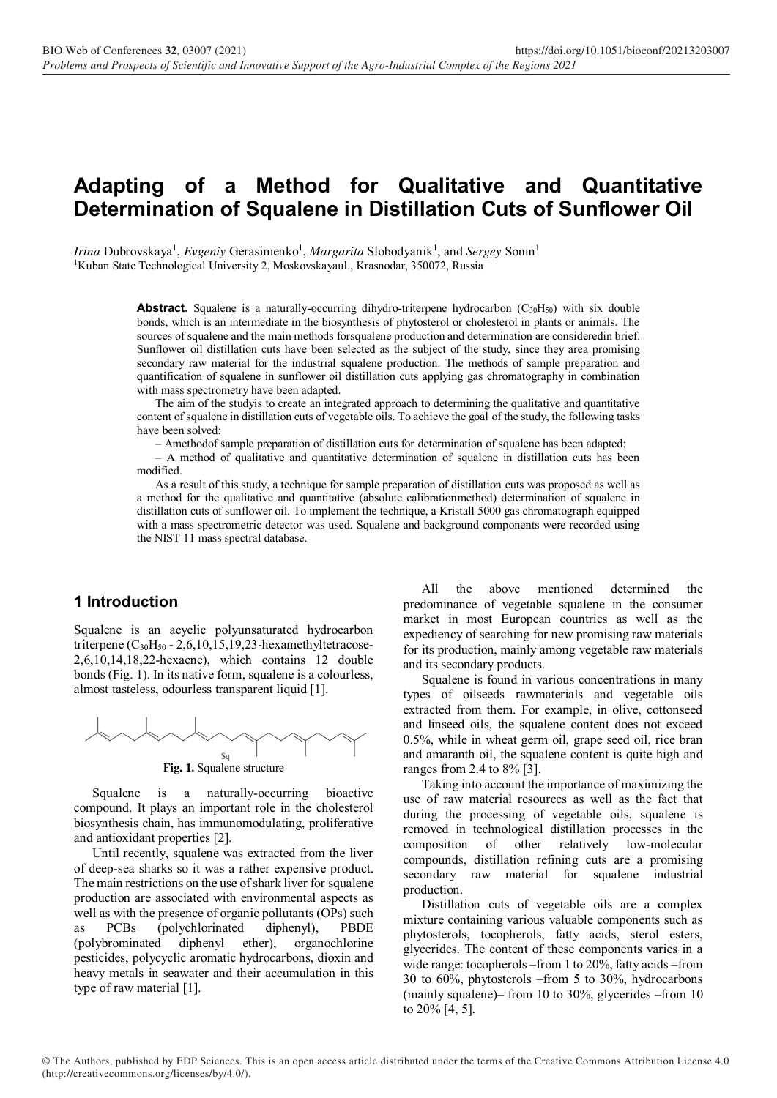# **Adapting of a Method for Qualitative and Quantitative Determination of Squalene in Distillation Cuts of Sunflower Oil**

Irina Dubrovskaya<sup>1</sup>, *Evgeniy* Gerasimenko<sup>1</sup>, *Margarita* Slobodyanik<sup>1</sup>, and *Sergey* Sonin<sup>1</sup> <sup>1</sup>Kuban State Technological University 2, Moskovskayaul., Krasnodar, 350072, Russia

> **Abstract.** Squalene is a naturally-occurring dihydro-triterpene hydrocarbon  $(C_{30}H_{50})$  with six double bonds, which is an intermediate in the biosynthesis of phytosterol or cholesterol in plants or animals. The sources of squalene and the main methods forsqualene production and determination are consideredin brief. Sunflower oil distillation cuts have been selected as the subject of the study, since they area promising secondary raw material for the industrial squalene production. The methods of sample preparation and quantification of squalene in sunflower oil distillation cuts applying gas chromatography in combination with mass spectrometry have been adapted.

> The aim of the studyis to create an integrated approach to determining the qualitative and quantitative content of squalene in distillation cuts of vegetable oils. To achieve the goal of the study, the following tasks have been solved:

– Amethodof sample preparation of distillation cuts for determination of squalene has been adapted;

– A method of qualitative and quantitative determination of squalene in distillation cuts has been modified.

As a result of this study, a technique for sample preparation of distillation cuts was proposed as well as a method for the qualitative and quantitative (absolute calibrationmethod) determination of squalene in distillation cuts of sunflower oil. To implement the technique, a Kristall 5000 gas chromatograph equipped with a mass spectrometric detector was used. Squalene and background components were recorded using the NIST 11 mass spectral database.

#### **1 Introduction**

Squalene is an acyclic polyunsaturated hydrocarbon triterpene ( $C_{30}H_{50}$  - 2,6,10,15,19,23-hexamethyltetracose-2,6,10,14,18,22-hexaene), which contains 12 double bonds (Fig. 1). In its native form, squalene is a colourless, almost tasteless, odourless transparent liquid [1].



**Fig. 1.** Squalene structure

Squalene is a naturally-occurring bioactive compound. It plays an important role in the cholesterol biosynthesis chain, has immunomodulating, proliferative and antioxidant properties [2].

Until recently, squalene was extracted from the liver of deep-sea sharks so it was a rather expensive product. The main restrictions on the use of shark liver for squalene production are associated with environmental aspects as well as with the presence of organic pollutants (OPs) such PCBs (polychlorinated diphenyl), PBDE (polybrominated diphenyl ether), organochlorine pesticides, polycyclic aromatic hydrocarbons, dioxin and heavy metals in seawater and their accumulation in this type of raw material [1].

All the above mentioned determined the predominance of vegetable squalene in the consumer market in most European countries as well as the expediency of searching for new promising raw materials for its production, mainly among vegetable raw materials and its secondary products.

Squalene is found in various concentrations in many types of oilseeds rawmaterials and vegetable oils extracted from them. For example, in olive, cottonseed and linseed oils, the squalene content does not exceed 0.5%, while in wheat germ oil, grape seed oil, rice bran and amaranth oil, the squalene content is quite high and ranges from 2.4 to 8% [3].

Taking into account the importance of maximizing the use of raw material resources as well as the fact that during the processing of vegetable oils, squalene is removed in technological distillation processes in the composition of other relatively low-molecular compounds, distillation refining cuts are a promising secondary raw material for squalene industrial production.

Distillation cuts of vegetable oils are a complex mixture containing various valuable components such as phytosterols, tocopherols, fatty acids, sterol esters, glycerides. The content of these components varies in a wide range: tocopherols –from 1 to 20%, fatty acids –from 30 to 60%, phytosterols –from 5 to 30%, hydrocarbons (mainly squalene)– from 10 to 30%, glycerides –from 10 to 20% [4, 5].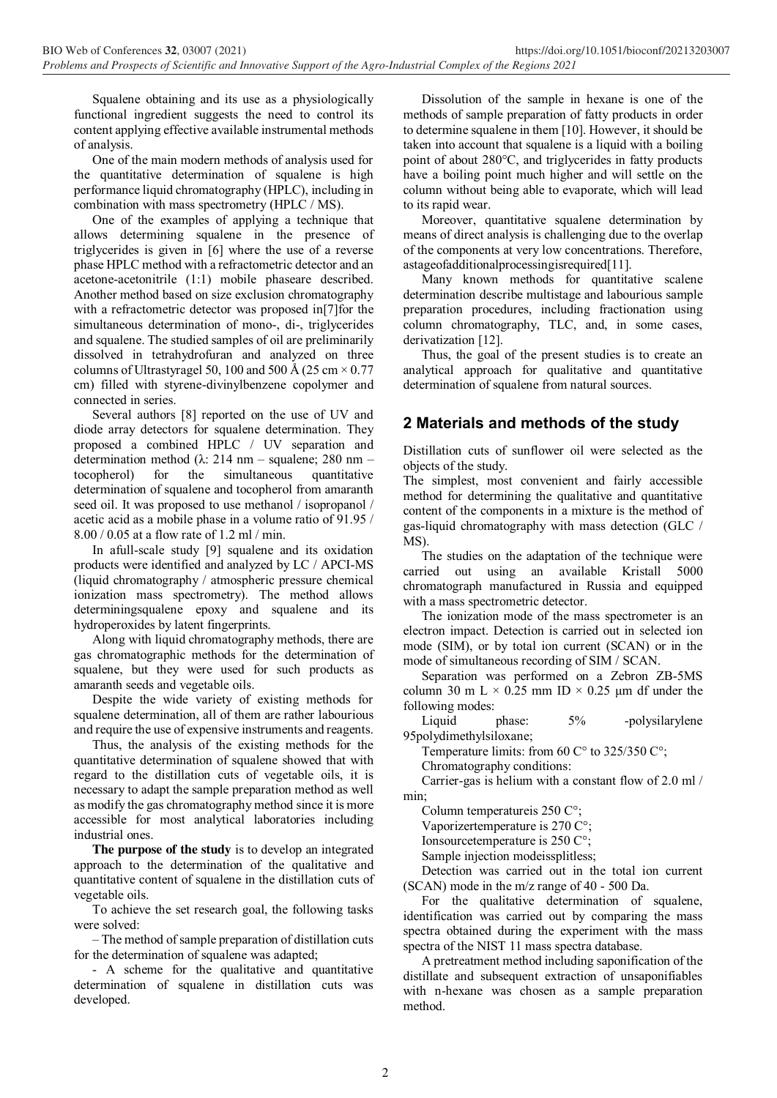Squalene obtaining and its use as a physiologically functional ingredient suggests the need to control its content applying effective available instrumental methods of analysis.

One of the main modern methods of analysis used for the quantitative determination of squalene is high performance liquid chromatography (HPLC), including in combination with mass spectrometry (HPLC / MS).

One of the examples of applying a technique that allows determining squalene in the presence of triglycerides is given in [6] where the use of a reverse phase HPLC method with a refractometric detector and an acetone-acetonitrile (1:1) mobile phaseare described. Another method based on size exclusion chromatography with a refractometric detector was proposed in [7] for the simultaneous determination of mono-, di-, triglycerides and squalene. The studied samples of oil are preliminarily dissolved in tetrahydrofuran and analyzed on three columns of Ultrastyragel 50, 100 and 500 Å (25 cm  $\times$  0.77 cm) filled with styrene-divinylbenzene copolymer and connected in series.

Several authors [8] reported on the use of UV and diode array detectors for squalene determination. They proposed a combined HPLC / UV separation and determination method (λ: 214 nm – squalene; 280 nm – tocopherol) for the simultaneous quantitative determination of squalene and tocopherol from amaranth seed oil. It was proposed to use methanol / isopropanol / acetic acid as a mobile phase in a volume ratio of 91.95 / 8.00 / 0.05 at a flow rate of 1.2 ml / min.

In afull-scale study [9] squalene and its oxidation products were identified and analyzed by LC / APCI-MS (liquid chromatography / atmospheric pressure chemical ionization mass spectrometry). The method allows determiningsqualene epoxy and squalene and its hydroperoxides by latent fingerprints.

Along with liquid chromatography methods, there are gas chromatographic methods for the determination of squalene, but they were used for such products as amaranth seeds and vegetable oils.

Despite the wide variety of existing methods for squalene determination, all of them are rather labourious and require the use of expensive instruments and reagents.

Thus, the analysis of the existing methods for the quantitative determination of squalene showed that with regard to the distillation cuts of vegetable oils, it is necessary to adapt the sample preparation method as well as modify the gas chromatography method since it is more accessible for most analytical laboratories including industrial ones.

**The purpose of the study** is to develop an integrated approach to the determination of the qualitative and quantitative content of squalene in the distillation cuts of vegetable oils.

To achieve the set research goal, the following tasks were solved:

– The method of sample preparation of distillation cuts for the determination of squalene was adapted;

- A scheme for the qualitative and quantitative determination of squalene in distillation cuts was developed.

Dissolution of the sample in hexane is one of the methods of sample preparation of fatty products in order to determine squalene in them [10]. However, it should be taken into account that squalene is a liquid with a boiling point of about 280°C, and triglycerides in fatty products have a boiling point much higher and will settle on the column without being able to evaporate, which will lead to its rapid wear.

Moreover, quantitative squalene determination by means of direct analysis is challenging due to the overlap of the components at very low concentrations. Therefore, astageofadditionalprocessingisrequired[11].

Many known methods for quantitative scalene determination describe multistage and labourious sample preparation procedures, including fractionation using column chromatography, TLC, and, in some cases, derivatization [12].

Thus, the goal of the present studies is to create an analytical approach for qualitative and quantitative determination of squalene from natural sources.

## **2 Materials and methods of the study**

Distillation cuts of sunflower oil were selected as the objects of the study.

The simplest, most convenient and fairly accessible method for determining the qualitative and quantitative content of the components in a mixture is the method of gas-liquid chromatography with mass detection (GLC /  $MS$ 

The studies on the adaptation of the technique were carried out using an available Kristall 5000 chromatograph manufactured in Russia and equipped with a mass spectrometric detector.

The ionization mode of the mass spectrometer is an electron impact. Detection is carried out in selected ion mode (SIM), or by total ion current (SCAN) or in the mode of simultaneous recording of SIM / SCAN.

Separation was performed on a Zebron ZB-5MS column 30 m L  $\times$  0.25 mm ID  $\times$  0.25 µm df under the following modes:

Liquid phase:  $5\%$  -polysilarylene 95polydimethylsiloxane;

Temperature limits: from 60  $C^{\circ}$  to 325/350  $C^{\circ}$ ;

Chromatography conditions:

Carrier-gas is helium with a constant flow of 2.0 ml / min;

Column temperatureis 250 С°;

Vaporizertemperature is 270 C°;

Ionsourcetemperature is 250 C°;

Sample injection modeissplitless;

Detection was carried out in the total ion current (SCAN) mode in the m/z range of 40 - 500 Da.

For the qualitative determination of squalene, identification was carried out by comparing the mass spectra obtained during the experiment with the mass spectra of the NIST 11 mass spectra database.

A pretreatment method including saponification of the distillate and subsequent extraction of unsaponifiables with n-hexane was chosen as a sample preparation method.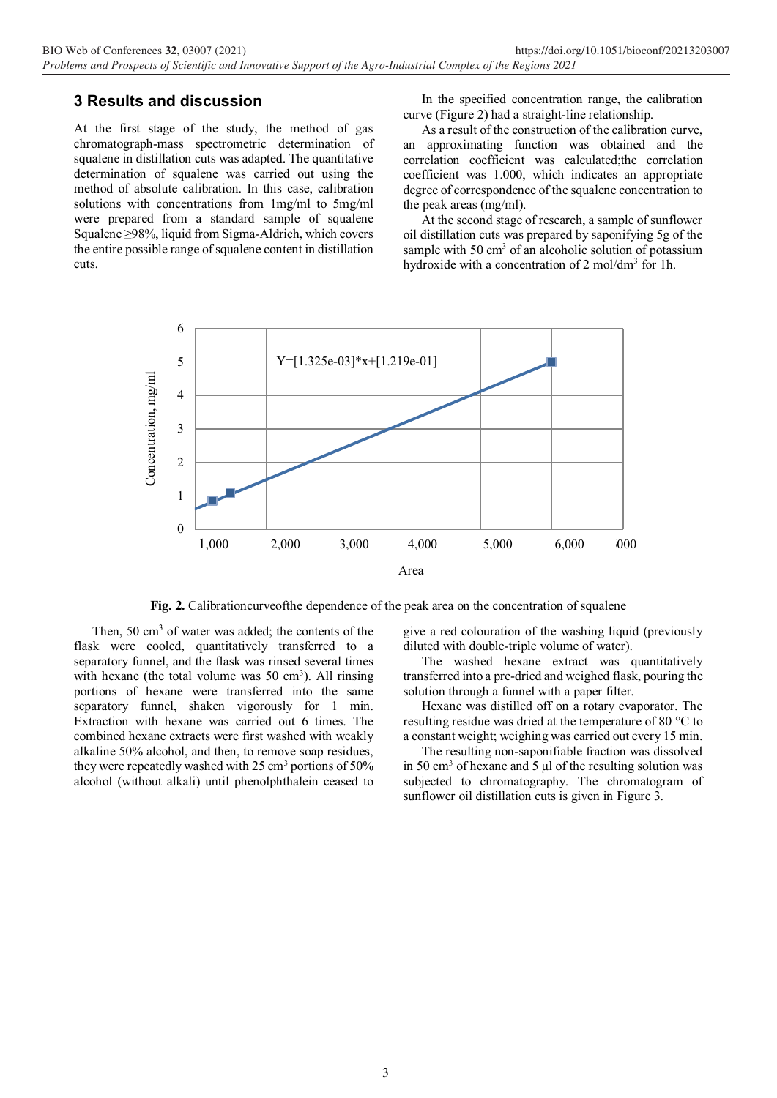### **3 Results and discussion**

At the first stage of the study, the method of gas chromatograph-mass spectrometric determination of squalene in distillation cuts was adapted. The quantitative determination of squalene was carried out using the method of absolute calibration. In this case, calibration solutions with concentrations from 1mg/ml to 5mg/ml were prepared from a standard sample of squalene Squalene ≥98%, liquid from Sigma-Aldrich, which covers the entire possible range of squalene content in distillation cuts.

In the specified concentration range, the calibration curve (Figure 2) had a straight-line relationship.

As a result of the construction of the calibration curve, an approximating function was obtained and the correlation coefficient was calculated;the correlation coefficient was 1.000, which indicates an appropriate degree of correspondence of the squalene concentration to the peak areas (mg/ml).

At the second stage of research, a sample of sunflower oil distillation cuts was prepared by saponifying 5g of the sample with  $50 \text{ cm}^3$  of an alcoholic solution of potassium hydroxide with a concentration of 2 mol/dm<sup>3</sup> for 1h.



**Fig. 2.** Calibrationcurveofthe dependence of the peak area on the concentration of squalene

Then,  $50 \text{ cm}^3$  of water was added; the contents of the flask were cooled, quantitatively transferred to a separatory funnel, and the flask was rinsed several times with hexane (the total volume was  $50 \text{ cm}^3$ ). All rinsing portions of hexane were transferred into the same separatory funnel, shaken vigorously for 1 min. Extraction with hexane was carried out 6 times. The combined hexane extracts were first washed with weakly alkaline 50% alcohol, and then, to remove soap residues, they were repeatedly washed with  $25 \text{ cm}^3$  portions of  $50\%$ alcohol (without alkali) until phenolphthalein ceased to give a red colouration of the washing liquid (previously diluted with double-triple volume of water).

The washed hexane extract was quantitatively transferred into a pre-dried and weighed flask, pouring the solution through a funnel with a paper filter.

Hexane was distilled off on a rotary evaporator. The resulting residue was dried at the temperature of 80 °C to a constant weight; weighing was carried out every 15 min.

The resulting non-saponifiable fraction was dissolved in 50  $\text{cm}^3$  of hexane and 5 μl of the resulting solution was subjected to chromatography. The chromatogram of sunflower oil distillation cuts is given in Figure 3.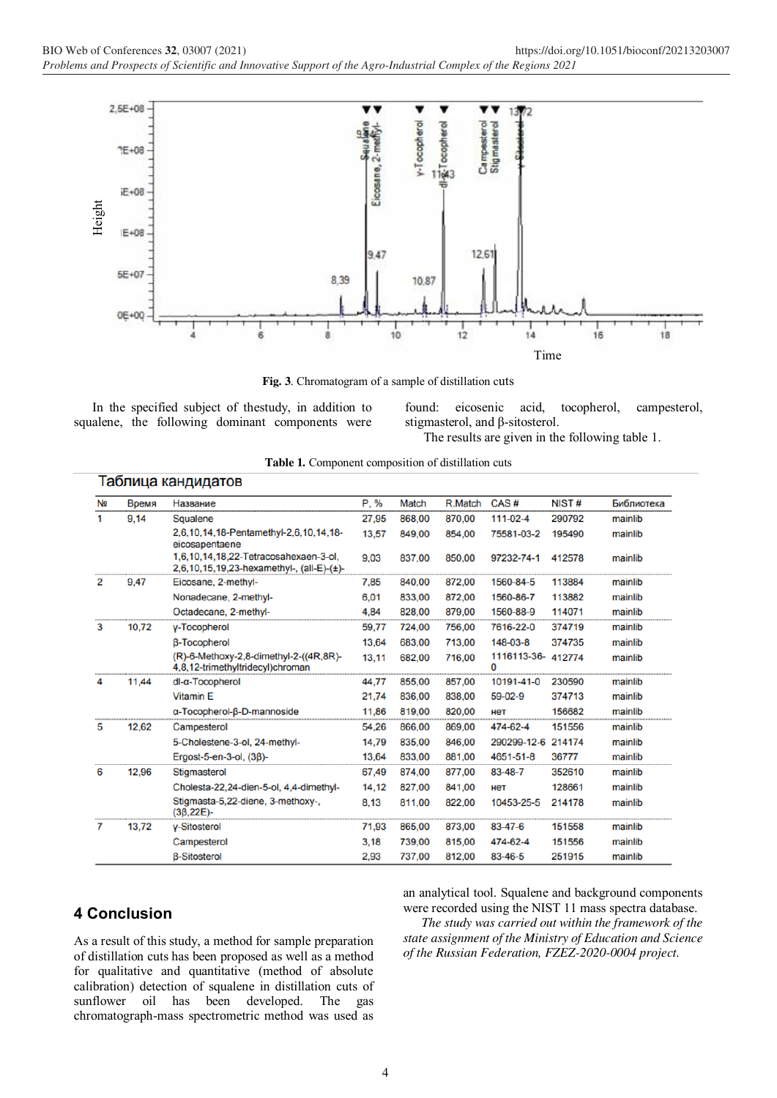

**Fig. 3**. Chromatogram of a sample of distillation cuts

In the specified subject of thestudy, in addition to squalene, the following dominant components were

found: eicosenic acid, tocopherol, campesterol, stigmasterol, and β-sitosterol.

The results are given in the following table 1.

|  |  | Table 1. Component composition of distillation cuts |  |  |  |
|--|--|-----------------------------------------------------|--|--|--|
|--|--|-----------------------------------------------------|--|--|--|

|  | Таблица кандидатов |  |  |
|--|--------------------|--|--|
|  |                    |  |  |
|  |                    |  |  |
|  |                    |  |  |

| N <sub>2</sub> | Время | Название                                                                           | P. %  | Match  | R.Match | CAS#             | NIST#  | Библиотека |
|----------------|-------|------------------------------------------------------------------------------------|-------|--------|---------|------------------|--------|------------|
| 1.             | 9.14  | Squalene                                                                           | 27,95 | 868.00 | 870,00  | 111-02-4         | 290792 | mainlib    |
|                |       | 2,6,10,14,18-Pentamethyl-2,6,10,14,18-<br>eicosapentaene                           | 13,57 | 849,00 | 854,00  | 75581-03-2       | 195490 | mainlib    |
|                |       | 1.6.10.14.18.22-Tetracosahexaen-3-ol.<br>2,6,10,15,19,23-hexamethyl-, (all-E)-(±)- | 9.03  | 837.00 | 850,00  | 97232-74-1       | 412578 | mainlib    |
| 2              | 9.47  | Eicosane, 2-methyl-                                                                | 7.85  | 840,00 | 872,00  | 1560-84-5        | 113884 | mainlib    |
|                |       | Nonadecane, 2-methyl-                                                              | 6,01  | 833,00 | 872,00  | 1560-86-7        | 113882 | mainlib    |
|                |       | Octadecane, 2-methyl-                                                              | 4,84  | 828,00 | 879,00  | 1560-88-9        | 114071 | mainlib    |
| 3              | 10.72 | y-Tocopherol                                                                       | 59.77 | 724.00 | 756.00  | 7616-22-0        | 374719 | mainlib    |
|                |       | <b>B-Tocopherol</b>                                                                | 13,64 | 683.00 | 713,00  | 148-03-8         | 374735 | mainlib    |
|                |       | (R)-6-Methoxy-2,8-dimethyl-2-((4R,8R)-<br>4,8,12-trimethyltridecyl)chroman         | 13,11 | 682,00 | 716,00  | 1116113-36-<br>O | 412774 | mainlib    |
| 4              | 11,44 | dl-a-Tocopherol                                                                    | 44,77 | 855,00 | 857,00  | 10191-41-0       | 230590 | mainlib    |
|                |       | <b>Vitamin E</b>                                                                   | 21,74 | 836,00 | 838,00  | 59-02-9          | 374713 | mainlib    |
|                |       | α-Tocopherol-β-D-mannoside                                                         | 11,86 | 819,00 | 820,00  | нет              | 156682 | mainlib    |
| 5              | 12,62 | Campesterol                                                                        | 54,26 | 866,00 | 869,00  | 474-62-4         | 151556 | mainlib    |
|                |       | 5-Cholestene-3-ol, 24-methyl-                                                      | 14.79 | 835.00 | 846,00  | 290299-12-6      | 214174 | mainlib    |
|                |       | Ergost-5-en-3-ol. (38)-                                                            | 13.64 | 833,00 | 881,00  | 4651-51-8        | 36777  | mainlib    |
| 6              | 12.96 | Stigmasterol                                                                       | 67.49 | 874,00 | 877,00  | 83-48-7          | 352610 | mainlib    |
|                |       | Cholesta-22,24-dien-5-ol, 4,4-dimethyl-                                            | 14,12 | 827.00 | 841.00  | нет              | 128661 | mainlib    |
|                |       | Stigmasta-5,22-diene, 3-methoxy-,<br>$(36.22E) -$                                  | 8,13  | 811.00 | 822,00  | 10453-25-5       | 214178 | mainlib    |
| 7              | 13.72 | <b>v-Sitosterol</b>                                                                | 71,93 | 865,00 | 873,00  | 83-47-6          | 151558 | mainlib    |
|                |       | Campesterol                                                                        | 3.18  | 739,00 | 815,00  | 474-62-4         | 151556 | mainlib    |
|                |       | <b>B-Sitosterol</b>                                                                | 2,93  | 737,00 | 812,00  | 83-46-5          | 251915 | mainlib    |

### **4 Conclusion**

As a result of this study, a method for sample preparation of distillation cuts has been proposed as well as a method for qualitative and quantitative (method of absolute calibration) detection of squalene in distillation cuts of sunflower oil has been developed. The gas chromatograph-mass spectrometric method was used as

an analytical tool. Squalene and background components were recorded using the NIST 11 mass spectra database.

*The study was carried out within the framework of the state assignment of the Ministry of Education and Science of the Russian Federation, FZEZ-2020-0004 project.*